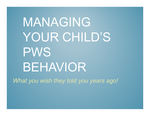# MANAGING YOUR CHILD'S PWS BEHAVIOR

*What you wish they told you years ago!*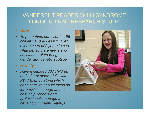#### VANDERBILT PRADER-WILLI SYNDROME LONGITUDINAL RESEARCH STUDY

#### • *Aims:*

- *To phenotype behavior in 166 children and adults with PWS over a span of 5 years to see what behaviors emerge and how these relate to age, gender and genetic subtype*
- *Reality:*
- *Have evaluated 207 children and a lot of older adults with PWS to understand which behaviors we should focus on for possible change and to best help parents and professionals manage these behaviors in many settings.*

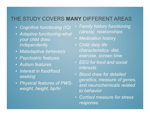## THE STUDY COVERS **MANY** DIFFERENT AREAS

- *Cognitive functioning (IQ)*
- *Adaptive functioning-what your child does independently*
- *Maladaptive behaviors*
- *Psychiatric features*
- *Autism features*
- *Interest in food/food seeking*
- *Physical features of PWSweight, height, bp/hr*
- *Family history functioning (stress) relationships*
- *Medication history*
- *Child daily life characteristics- diet, exercise, screen time*
- *EEG for food and social interests*
- *Blood draw for detailed genetics, measure of genes, and neurochemicals related to behavior*
- *Cortisol measure for stress response.*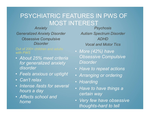#### PSYCHIATRIC FEATURES IN PWS OF MOST INTEREST

*Anxiety Generalized Anxiety DisorderObsessive Compulsive Disorder*

#### *Out of 200+ children and adults with PWS*

- *About 25% meet criteria for generalized anxiety disorder*
- *Feels anxious or uptight*
- *Can't relax*
- *Intense /lasts for several hours a day*
- *Affects school and home*

 *PsychosisAutism Spectrum DisorderADHDVocal and Motor Tics*

- *More (42%) have Obsessive Compulsive Disorder*
- *Have to repeat actions*
- *Arranging or ordering*
- *Hoarding*
- *Have to have things a certain way*
- *Very few have obsessive thoughts-hard to tell*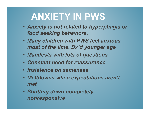## **ANXIETY IN PWS**

- *Anxiety is not related to hyperphagia or food seeking behaviors.*
- *Many children with PWS feel anxious most of the time. Dx'd younger age*
- *Manifests with lots of questions*
- *Constant need for reassurance*
- *Insistence on sameness*
- *Meltdowns when expectations aren't met*
- *Shutting down-completely nonresponsive*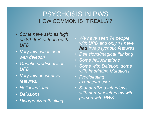#### PSYCHOSIS IN PWSHOW COMMON IS IT REALLY?

- *Some have said as high as 80-90% of those with UPD*
- *Very few cases seen with deletion*
- *Genetic predisposition –UPD*
- *Very few descriptive features:*
- *Hallucinations*
- *Delusions*
- *Disorganized thinking*
- *We have seen 74 people with UPD and only 11 have had true psychotic features*
- *Delusions/magical thinking*
- *Some hallucinations*
- *Some with Deletion, some with Imprinting Mutations*
- *Precipitating events/stressor*
- *Standardized interviews with parents/ interview with person with PWS*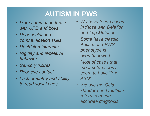## **AUTISM IN PWS**

- *More common in those with UPD and boys*
- *Poor social and communication skills*
- *Restricted interests*
- *Rigidity and repetitive behavior*
- *Sensory issues*
- *Poor eye contact*
- *Lack empathy and ability to read social cues*
- *We have found cases in those with Deletion and Imp Mutation*
- *Some have classic Autism and PWS phenotype is overshadowed*
- *Most of cases that meet criteria don't seem to have "true ASD"*
- *We use the Gold standard and multiple raters to ensure accurate diagnosis*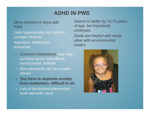#### **ADHD IN PWS**

#### *More common in boys with PWS*

 *Less hyperactivity, but some in younger children Impulsive, inattentive, distracted*

- *Common medications may help, but have some side effects: nervousness, irritable*
- *Non-stimulants can be a better choice*
- *You have to separate anxiety from inattention- difficult to do*
- *Lots of behavioral intervention work well with meds*

*Seems to better by 10-12 years of age, but impulsivity continuesSome are treated with meds, other with environmental means*

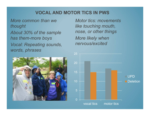#### **VOCAL AND MOTOR TICS IN PWS**

*More common than we thoughtAbout 30% of the sample has them-more boysVocal: Repeating sounds, words, phrases*

*Motor tics: movements like touching mouth, nose, or other thingsMore likely when nervous/excited*



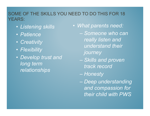#### SOME OF THE SKILLS YOU NEED TO DO THIS FOR 18 YEARS:

- *Listening skills*
- *Patience*
- *Creativity*
- *Flexibility*
- *Develop trust and long term relationships*
- *What parents need:*
	- *Someone who can really listen and understand their journey*
	- *Skills and proven track record*
	- *Honesty*
	- *Deep understanding and compassion for their child with PWS*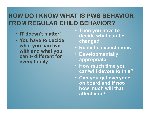### **HOW DO I KNOW WHAT IS PWS BEHAVIOR FROM REGULAR CHILD BEHAVIOR?**

- **IT doesn't matter!**
- **You have to decide what you can live with and what you can't- different for every family**
- **Then you have to decide what can be changed**
- **Realistic expectations**
- **Developmentally appropriate**
- **How much time you can/will devote to this?**
- **Can you get everyone on board and if nothow much will that affect you?**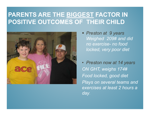## **PARENTS ARE THE BIGGEST FACTOR IN POSITIVE OUTCOMES OF THEIR CHILD**



 *Preston at 9 years Weighed 209# and did no exercise- no food locked, very poor diet*

• *Preston now at 14 yearsON GHT, weighs 174#Food locked, good dietPlays on several teams and exercises at least 2 hours a day.*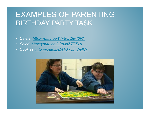## EXAMPLES OF PARENTING: BIRTHDAY PARTY TASK

- *Celery: http://youtu.be/Ww96K3w40PA*
- *Salad: http://youtu.be/LOAJdZTTT1A*
- *Cookies: http://youtu.be/A1UXcfmWNCk*

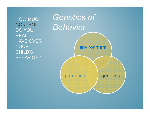HOW MUCH **CONTROL** DO YOU **REALLY** HAVE OVER YOUR CHILD'S BEHAVIOR?

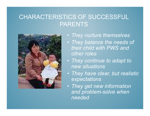#### CHARACTERISTICS OF SUCCESSFUL PARENTS



- *They nurture themselves*
- *They balance the needs of their child with PWS and other roles*
- *They continue to adapt to new situations*
- *They have clear, but realistic expectations*
- *They get new information and problem-solve when needed*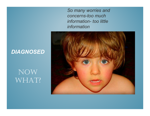*So many worries and concerns-too much information- too little information*



#### *DIAGNOSED*

## NOW WHAT?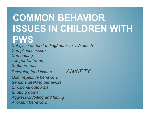# **COMMON BEHAVIOR ISSUES IN CHILDREN WITH**

## **PWS**

 *Compliance issuesDelays in understanding/motor skills/speechDemanding Temper tantrumsStubbornness*

*Emerging food issuesOdd, repetitive behaviors Sensory seeking behaviorsEmotional outburstsShutting down Aggression/biting and hittingAvoidant behaviors*

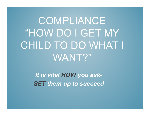COMPLIANCE"HOW DO I GET MY CHILD TO DO WHAT I WANT?"

> *It is vital HOW you ask-SET them up to succeed*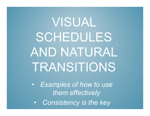VISUAL SCHEDULES AND NATURAL TRANSITIONS

 $\bullet$  *Examples of how to use them effectively*

 $\bullet$ *Consistency is the key*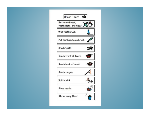| <b>Brush Teeth</b>                          | 뽸 |
|---------------------------------------------|---|
| Get toothbrush,<br>toothpaste, and floss XD |   |
| Wet toothbrush                              |   |
| Put toothpaste on brush                     |   |
| Brush teeth                                 |   |
| Brush front of teeth                        |   |
| Brush back of teeth                         |   |
| Brush tongue                                |   |
| Spit in sink                                |   |
| Floss teeth                                 |   |
| Throw away floss                            |   |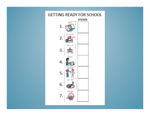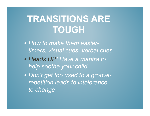# **TRANSITIONS ARE TOUGH**

- *How to make them easiertimers, visual cues, verbal cues*
- *Heads UP! Have a mantra to help soothe your child*
- *Don't get too used to a grooverepetition leads to intolerance to change*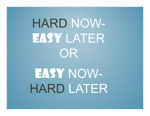HARD NOW-EASY LATEROREASY NOW-HARD LATER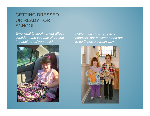#### GETTING DRESSED OR READY FOR **SCHOOL**

*Emotional Outlook- bright affect, confident and capable of getting the best out of your child*



*PWS child- slow, repetitive behavior, not motivated and has to do things a certain way*

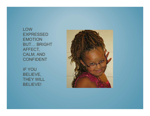LOW EXPRESSED EMOTIONBUT... BRIGHT<br>AFFFCT AFFECT, CALM, AND **CONFIDENT** 

IF YOU BELIEVE, THEY WILL BELIEVE!

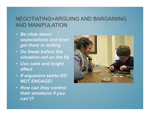#### NEGOTIATING=ARGUING AND BARGAINING AND MANIPULATION

- *Be clear about expectations and even get them in writing*
- *Do these before the situation-not on the fly*
- *Use calm and bright affect*
- *If argument starts-DO NOT ENGAGE!*
- *How can they control their emotions if you can't?*

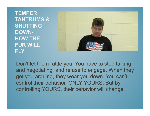**TEMPER TANTRUMS & SHUTTING DOWN-HOW THE FUR WILL FLY!**



Don't let them rattle you. You have to stop talking and negotiating, and refuse to engage. When they get you arguing, they wear you down. You can't control their behavior, ONLY YOURS. But by controlling YOURS, their behavior will change.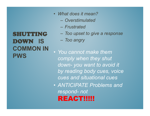## SHUTTING DOWN **IS COMMON IN PWS**

- *What does it mean?* 
	- *Overstimulated*
	- *Frustrated*
	- *Too upset to give a response*
	- *Too angry*
- *You cannot make them comply when they shut down- you want to avoid it by reading body cues, voice cues and situational cues*
- *ANTICIPATE Problems and respond- not*  REACT!!!!!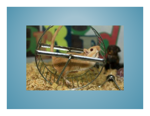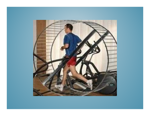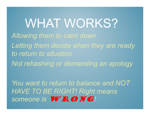WHAT WORKS? *Allowing them to calm downLetting them decide when they are ready to return to situationNot rehashing or demanding an apology*

*You want to return to balance and NOT HAVE TO BE RIGHT! Right means someone is* WRONG!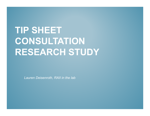# **TIP SHEET CONSULTATIONRESEARCH STUDY**

*Lauren Deisenroth, RAII in the lab*